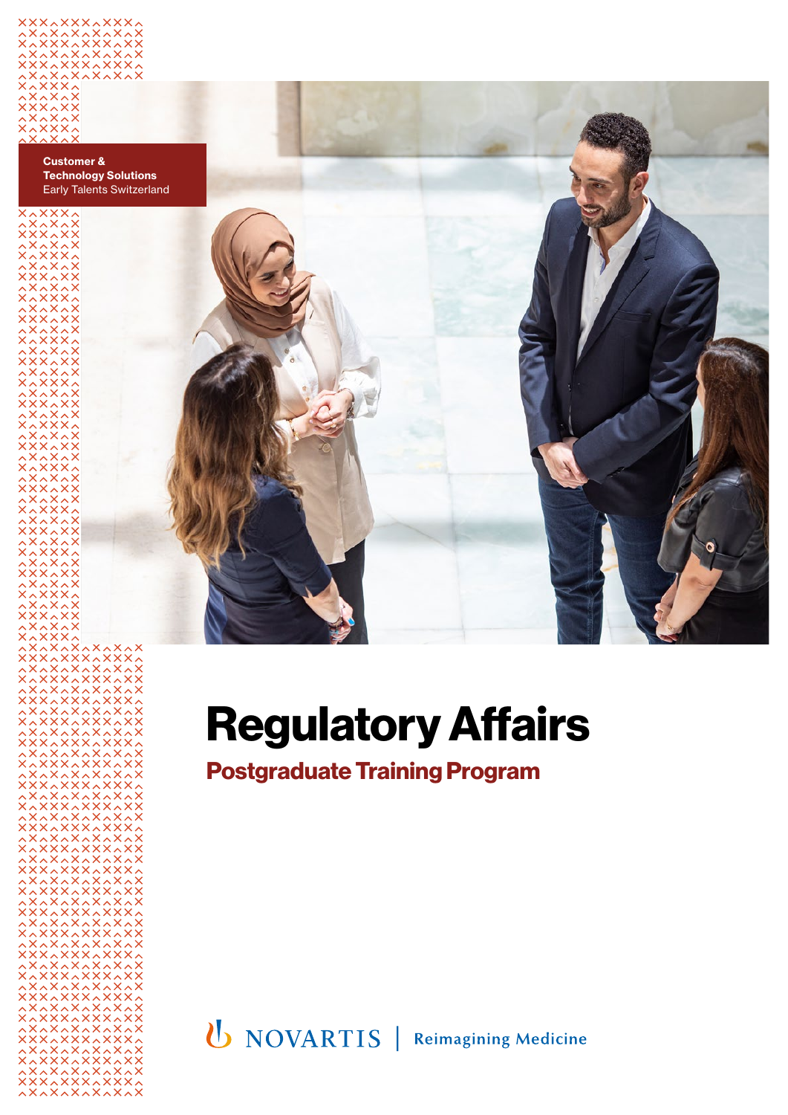**Customer & Technology Solutions**  Early Talents Switzerland

## **Regulatory Affairs**

**Postgraduate Training Program**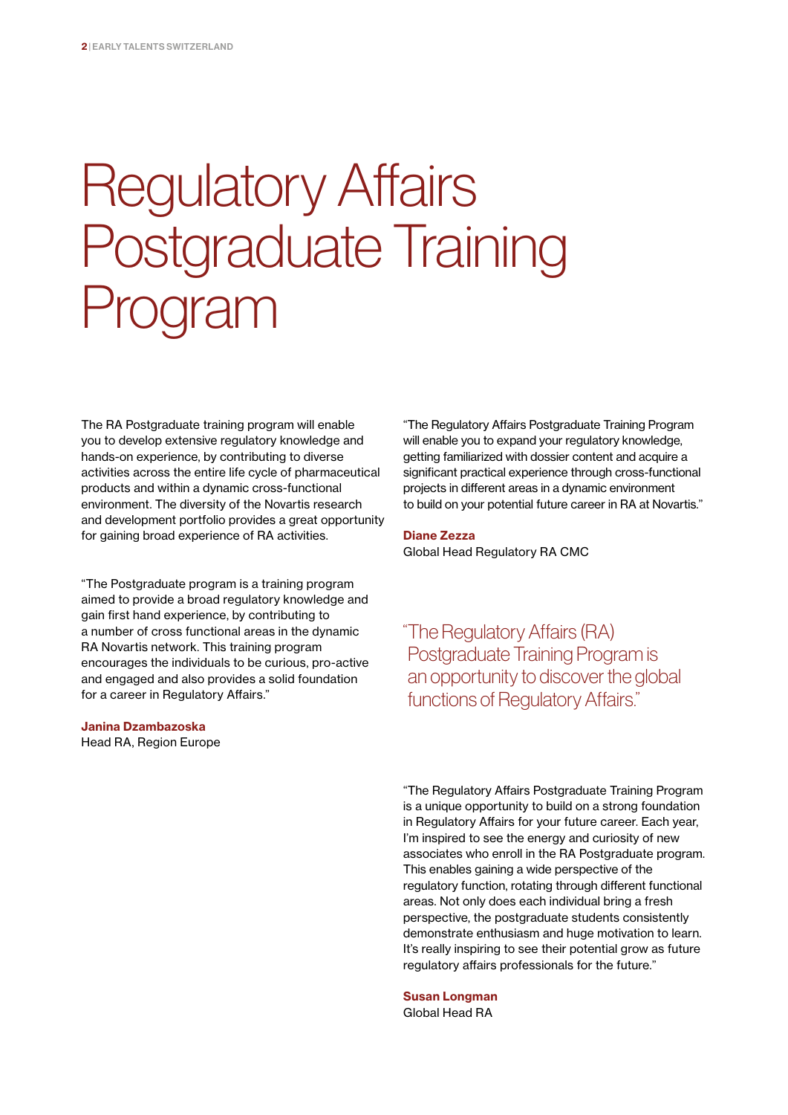## Regulatory Affairs Postgraduate Training **param**

The RA Postgraduate training program will enable you to develop extensive regulatory knowledge and hands-on experience, by contributing to diverse activities across the entire life cycle of pharmaceutical products and within a dynamic cross-functional environment. The diversity of the Novartis research and development portfolio provides a great opportunity for gaining broad experience of RA activities.

"The Postgraduate program is a training program aimed to provide a broad regulatory knowledge and gain first hand experience, by contributing to a number of cross functional areas in the dynamic RA Novartis network. This training program encourages the individuals to be curious, pro-active and engaged and also provides a solid foundation for a career in Regulatory Affairs."

#### **Janina Dzambazoska**

Head RA, Region Europe

"The Regulatory Affairs Postgraduate Training Program will enable you to expand your regulatory knowledge, getting familiarized with dossier content and acquire a significant practical experience through cross-functional projects in different areas in a dynamic environment to build on your potential future career in RA at Novartis."

#### **Diane Zezza**

Global Head Regulatory RA CMC

"The Regulatory Affairs (RA) Postgraduate Training Program is an opportunity to discover the global functions of Regulatory Affairs."

"The Regulatory Affairs Postgraduate Training Program is a unique opportunity to build on a strong foundation in Regulatory Affairs for your future career. Each year, I'm inspired to see the energy and curiosity of new associates who enroll in the RA Postgraduate program. This enables gaining a wide perspective of the regulatory function, rotating through different functional areas. Not only does each individual bring a fresh perspective, the postgraduate students consistently demonstrate enthusiasm and huge motivation to learn. It's really inspiring to see their potential grow as future regulatory affairs professionals for the future."

**Susan Longman** Global Head RA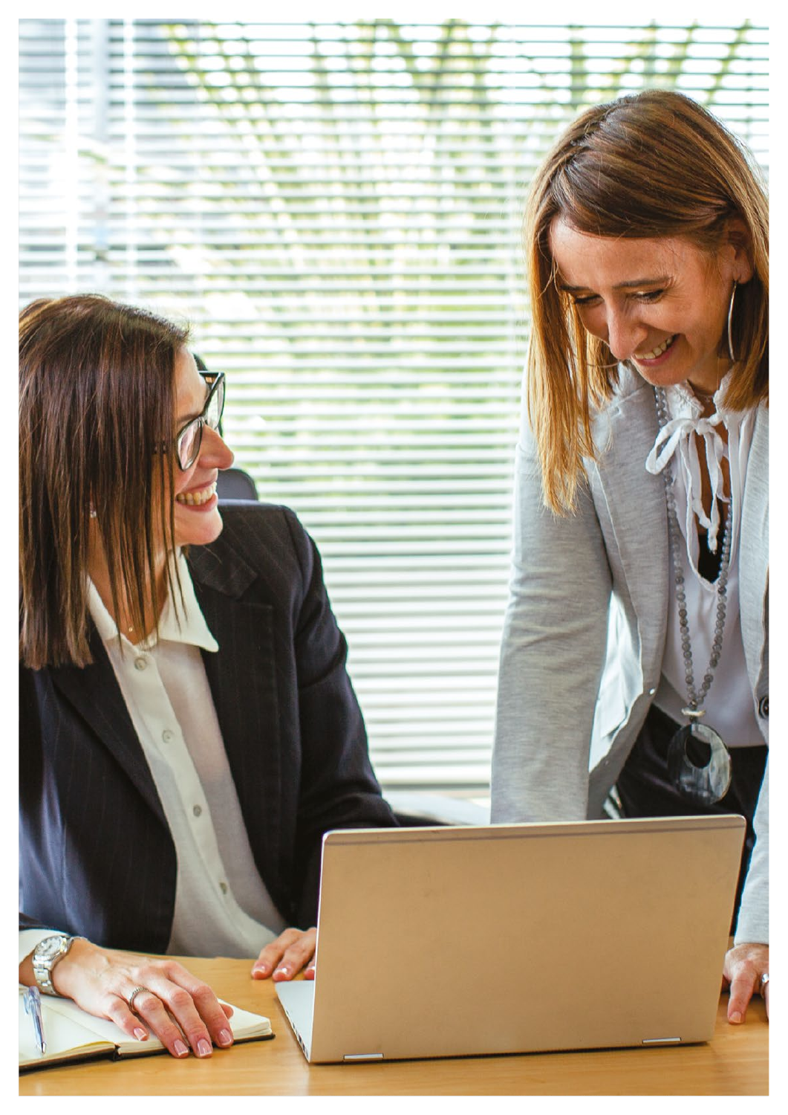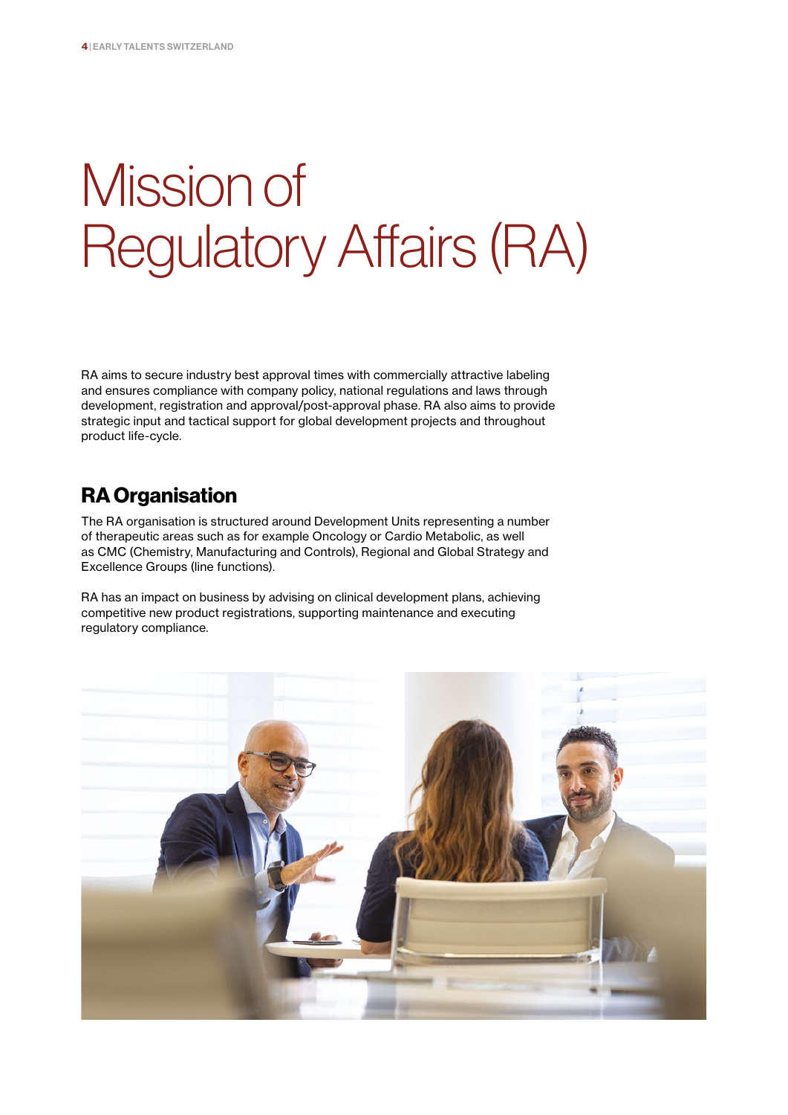# Mission of Regulatory Affairs (RA)

RA aims to secure industry best approval times with commercially attractive labeling and ensures compliance with company policy, national regulations and laws through development, registration and approval/post-approval phase. RA also aims to provide strategic input and tactical support for global development projects and throughout product life-cycle.

### **RA Organisation**

The RA organisation is structured around Development Units representing a number of therapeutic areas such as for example Oncology or Cardio Metabolic, as well as CMC (Chemistry, Manufacturing and Controls), Regional and Global Strategy and Excellence Groups (line functions).

RA has an impact on business by advising on clinical development plans, achieving competitive new product registrations, supporting maintenance and executing regulatory compliance.

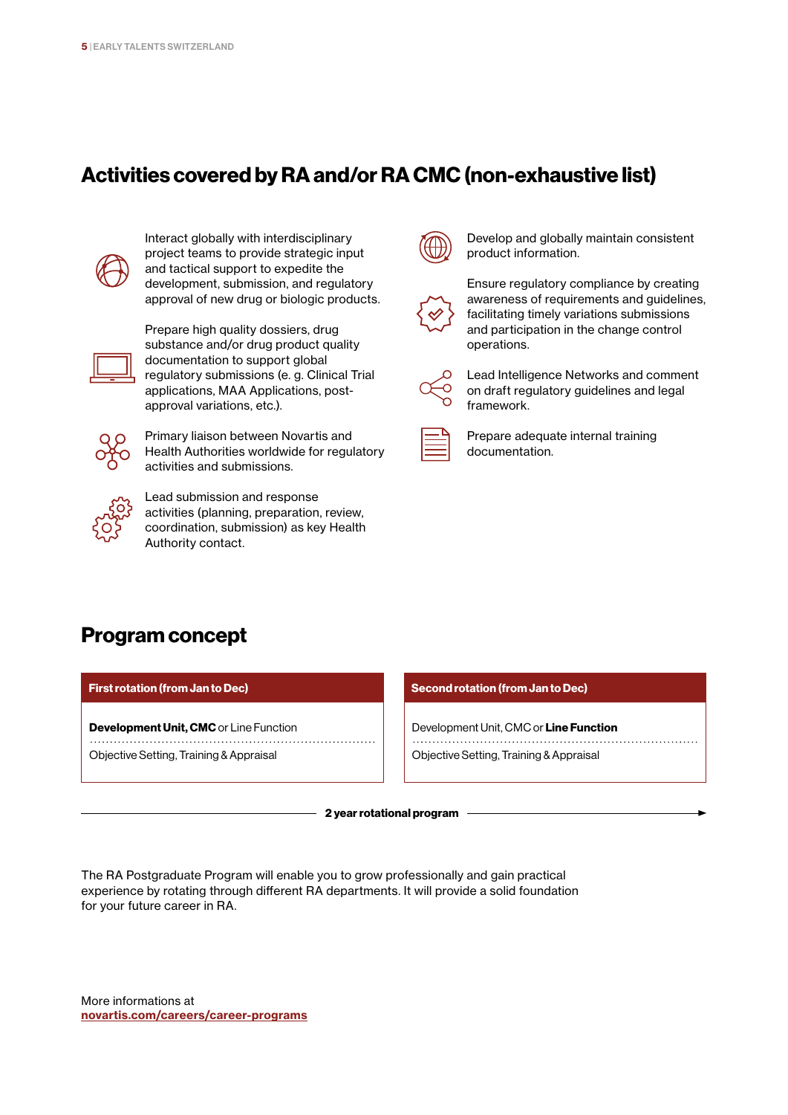### **Activities covered by RA and/or RA CMC (non-exhaustive list)**



Interact globally with interdisciplinary project teams to provide strategic input and tactical support to expedite the development, submission, and regulatory approval of new drug or biologic products.



Prepare high quality dossiers, drug substance and/or drug product quality documentation to support global regulatory submissions (e. g. Clinical Trial applications, MAA Applications, postapproval variations, etc.).



Primary liaison between Novartis and Health Authorities worldwide for regulatory activities and submissions.



Lead submission and response activities (planning, preparation, review, coordination, submission) as key Health Authority contact.



Develop and globally maintain consistent product information.



Ensure regulatory compliance by creating awareness of requirements and guidelines, facilitating timely variations submissions and participation in the change control operations.



Lead Intelligence Networks and comment on draft regulatory guidelines and legal framework.



Prepare adequate internal training documentation.

### **Program concept**

**First rotation (from Jan to Dec)**

**Development Unit, CMC** or Line Function 

Objective Setting, Training & Appraisal

#### **Second rotation (from Jan to Dec)**

Development Unit, CMC or **Line Function** 

Objective Setting, Training & Appraisal

**2 year rotational program**

The RA Postgraduate Program will enable you to grow professionally and gain practical experience by rotating through different RA departments. It will provide a solid foundation for your future career in RA.

More informations at **[novartis.com/careers/career-programs](http://www.novartis.com/careers/career-programs)**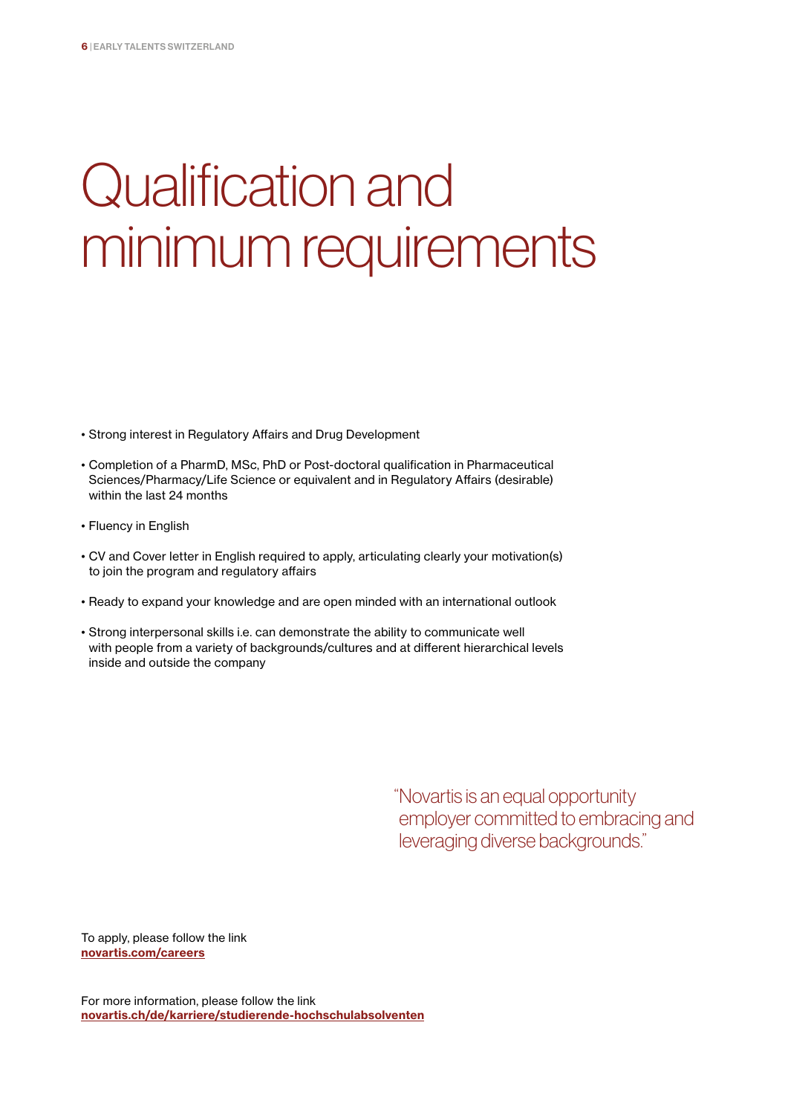## Qualification and minimum requirements

• Strong interest in Regulatory Affairs and Drug Development

- Completion of a PharmD, MSc, PhD or Post-doctoral qualification in Pharmaceutical Sciences/Pharmacy/Life Science or equivalent and in Regulatory Affairs (desirable) within the last 24 months
- Fluency in English
- CV and Cover letter in English required to apply, articulating clearly your motivation(s) to join the program and regulatory affairs
- Ready to expand your knowledge and are open minded with an international outlook
- Strong interpersonal skills i.e. can demonstrate the ability to communicate well with people from a variety of backgrounds/cultures and at different hierarchical levels inside and outside the company

"Novartis is an equal opportunity employer committed to embracing and leveraging diverse backgrounds."

To apply, please follow the link **[novartis.com/careers](http://www.novartis.com/careers)**

For more information, please follow the link **[novartis.ch/de/karriere/studierende-hochschulabsolventen](https://www.novartis.ch/de/karriere/studierende-hochschulabsolventen#from=redirect”)**